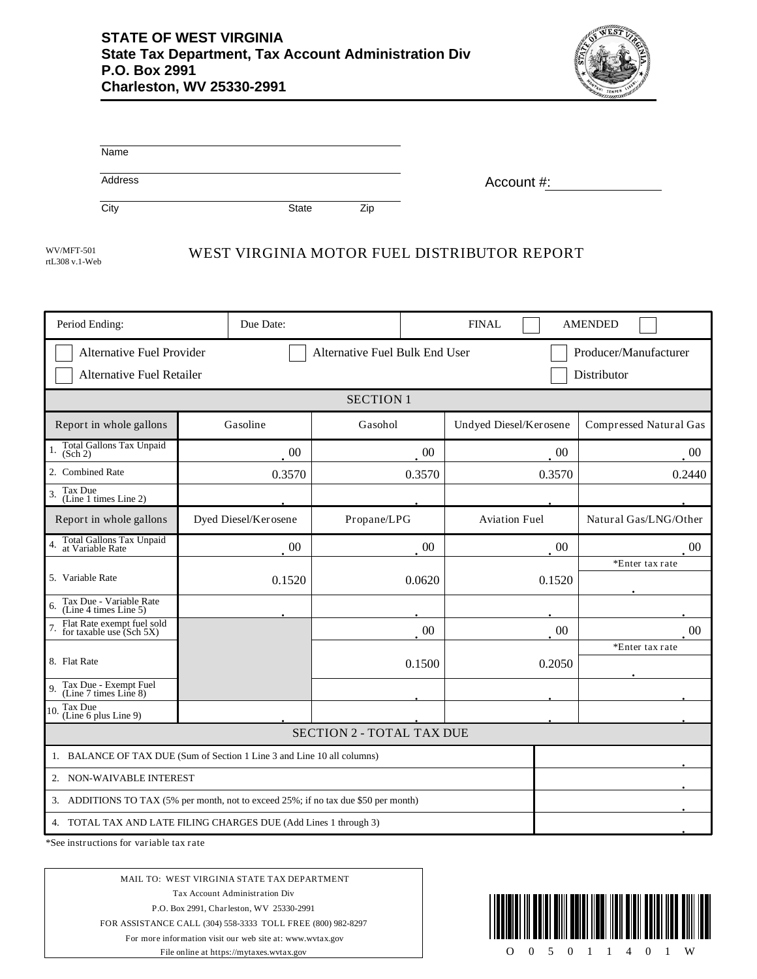

| Name    |              |           |            |
|---------|--------------|-----------|------------|
| Address |              |           | Account #: |
| City    | <b>State</b> | -.<br>Zic |            |

rtL308 v.1-Web

# WUMFT-501 WEST VIRGINIA MOTOR FUEL DISTRIBUTOR REPORT

| Period Ending:                                                                       | Due Date:            |                  | <b>FINAL</b>           | <b>AMENDED</b>         |
|--------------------------------------------------------------------------------------|----------------------|------------------|------------------------|------------------------|
| Alternative Fuel Provider<br>Alternative Fuel Bulk End User<br>Producer/Manufacturer |                      |                  |                        |                        |
| <b>Alternative Fuel Retailer</b><br>Distributor                                      |                      |                  |                        |                        |
|                                                                                      |                      | <b>SECTION 1</b> |                        |                        |
| Report in whole gallons                                                              | Gasoline             | Gasohol          | Undyed Diesel/Kerosene | Compressed Natural Gas |
| Total Gallons Tax Unpaid<br>(Sch 2)                                                  | 00                   | $00\,$           | $00\,$                 | 00                     |
| 2. Combined Rate                                                                     | 0.3570               | 0.3570           | 0.3570                 | 0.2440                 |
| Tax Due<br>(Line 1 times Line 2)                                                     |                      |                  |                        |                        |
| Report in whole gallons                                                              | Dyed Diesel/Kerosene | Propane/LPG      | <b>Aviation Fuel</b>   | Natural Gas/LNG/Other  |
| Total Gallons Tax Unpaid<br>at Variable Rate                                         | $00\,$               | $00\,$           | $00\,$                 | 00                     |
| 5. Variable Rate                                                                     | 0.1520               | 0.0620           | 0.1520                 | *Enter tax rate        |
| Tax Due - Variable Rate<br>(Line 4 times Line 5)<br>6.                               |                      |                  |                        |                        |
| Flat Rate exempt fuel sold<br>for taxable use (Sch 5X)                               |                      | 00               | 00                     | 00                     |
| 8. Flat Rate                                                                         |                      | 0.1500           | 0.2050                 | *Enter tax rate        |
| Tax Due - Exempt Fuel<br>(Line 7 times Line 8)<br>9.                                 |                      |                  |                        |                        |
| Tax Due<br>10.<br>(Line 6 plus Line 9)                                               |                      |                  |                        |                        |
| <b>SECTION 2 - TOTAL TAX DUE</b>                                                     |                      |                  |                        |                        |
| 1. BALANCE OF TAX DUE (Sum of Section 1 Line 3 and Line 10 all columns)              |                      |                  |                        |                        |
| 2. NON-WAIVABLE INTEREST                                                             |                      |                  |                        |                        |
| 3. ADDITIONS TO TAX (5% per month, not to exceed 25%; if no tax due \$50 per month)  |                      |                  |                        |                        |
| 4. TOTAL TAX AND LATE FILING CHARGES DUE (Add Lines 1 through 3)                     |                      |                  |                        |                        |

\*See instructions for variable tax rate

MAIL TO: WEST VIRGINIA STATE TAX DEPARTMENT Tax Account Administration Div P.O. Box 2991, Charleston, WV 25330-2991 FOR ASSISTANCE CALL (304) 558-3333 TOLL FREE (800) 982-8297 For more information visit our web site at: www.wvtax.gov File online at https://mytaxes.wvtax.gov

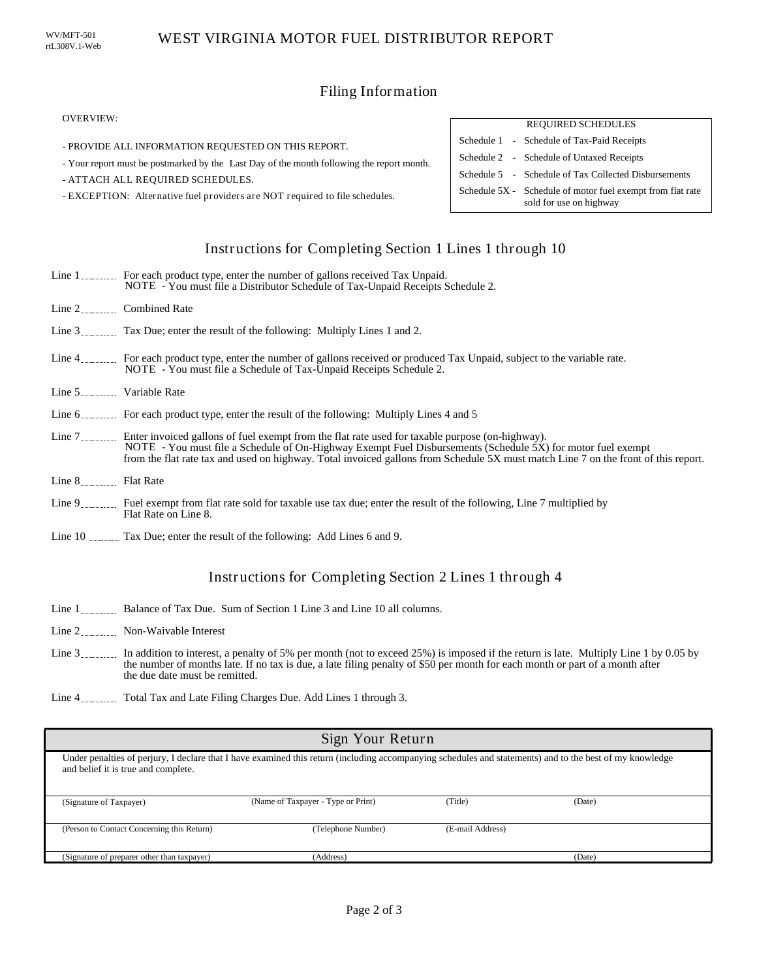## Filing Information

#### OVERVIEW:

- PROVIDE ALL INFORMATION REQUESTED ON THIS REPORT.
- Your report must be postmarked by the Last Day of the month following the report month.
- ATTACH ALL REQUIRED SCHEDULES.
- EXCEPTION: Alternative fuel providers are NOT required to file schedules.

## REQUIRED SCHEDULES Schedule 1 - Schedule of Tax-Paid Receipts Schedule 5 - Schedule of Tax Collected Disbursements Schedule 2 - Schedule of Untaxed Receipts Schedule 5X - Schedule of motor fuel exempt from flat rate sold for use on highway

## Instructions for Completing Section 1 Lines 1 through 10

|                      | Line 1 For each product type, enter the number of gallons received Tax Unpaid.<br>NOTE - You must file a Distributor Schedule of Tax-Unpaid Receipts Schedule 2.                                                                                                                                                                                                      |
|----------------------|-----------------------------------------------------------------------------------------------------------------------------------------------------------------------------------------------------------------------------------------------------------------------------------------------------------------------------------------------------------------------|
|                      | Line 2 Combined Rate                                                                                                                                                                                                                                                                                                                                                  |
|                      | Line 3 Tax Due; enter the result of the following: Multiply Lines 1 and 2.                                                                                                                                                                                                                                                                                            |
|                      | Line 4 For each product type, enter the number of gallons received or produced Tax Unpaid, subject to the variable rate.<br>NOTE - You must file a Schedule of Tax-Unpaid Receipts Schedule 2.                                                                                                                                                                        |
| Line 5 Variable Rate |                                                                                                                                                                                                                                                                                                                                                                       |
|                      | Line 6 For each product type, enter the result of the following: Multiply Lines 4 and 5                                                                                                                                                                                                                                                                               |
|                      | Line 7 _________ Enter invoiced gallons of fuel exempt from the flat rate used for taxable purpose (on-highway).<br>NOTE - You must file a Schedule of On-Highway Exempt Fuel Disbursements (Schedule 5X) for motor fuel exempt<br>from the flat rate tax and used on highway. Total invoiced gallons from Schedule 5X must match Line 7 on the front of this report. |
| Line 8 Flat Rate     |                                                                                                                                                                                                                                                                                                                                                                       |
|                      | Line 9 Fuel exempt from flat rate sold for taxable use tax due; enter the result of the following, Line 7 multiplied by                                                                                                                                                                                                                                               |

- Flat Rate on Line 8.
- Line 10 Tax Due; enter the result of the following: Add Lines 6 and 9.

## Instructions for Completing Section 2 Lines 1 through 4

- Line 1 **Balance of Tax Due.** Sum of Section 1 Line 3 and Line 10 all columns.
- Line 2 \_\_\_\_\_\_\_\_\_\_\_\_\_\_\_ Non-Waivable Interest
- Line 3 In addition to interest, a penalty of 5% per month (not to exceed 25%) is imposed if the return is late. Multiply Line 1 by 0.05 by the number of months late. If no tax is due, a late filing penalty of \$50 per month for each month or part of a month after the due date must be remitted.
- Line 4 Total Tax and Late Filing Charges Due. Add Lines 1 through 3.

| Sign Your Return                                                                                                                                                                                |                                    |                  |        |
|-------------------------------------------------------------------------------------------------------------------------------------------------------------------------------------------------|------------------------------------|------------------|--------|
| Under penalties of perjury, I declare that I have examined this return (including accompanying schedules and statements) and to the best of my knowledge<br>and belief it is true and complete. |                                    |                  |        |
| (Signature of Taxpayer)                                                                                                                                                                         | (Name of Taxpayer - Type or Print) | (Title)          | (Date) |
| (Person to Contact Concerning this Return)                                                                                                                                                      | (Telephone Number)                 | (E-mail Address) |        |
| (Signature of preparer other than taxpayer)                                                                                                                                                     | (Address)                          |                  | (Date) |